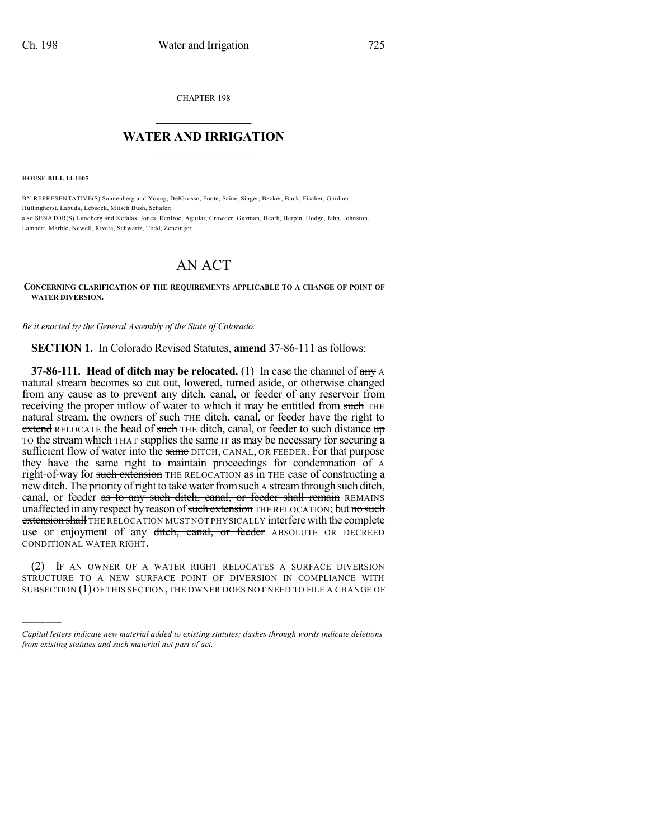CHAPTER 198

## $\overline{\phantom{a}}$  . The set of the set of the set of the set of the set of the set of the set of the set of the set of the set of the set of the set of the set of the set of the set of the set of the set of the set of the set o **WATER AND IRRIGATION**  $\_$   $\_$

**HOUSE BILL 14-1005**

)))))

BY REPRESENTATIVE(S) Sonnenberg and Young, DelGrosso, Foote, Saine, Singer, Becker, Buck, Fischer, Gardner, Hullinghorst, Labuda, Lebsock, Mitsch Bush, Schafer; also SENATOR(S) Lundberg and Kefalas, Jones, Renfroe, Aguilar, Crowder, Guzman, Heath, Herpin, Hodge, Jahn, Johnston, Lambert, Marble, Newell, Rivera, Schwartz, Todd, Zenzinger.

## AN ACT

## **CONCERNING CLARIFICATION OF THE REQUIREMENTS APPLICABLE TO A CHANGE OF POINT OF WATER DIVERSION.**

*Be it enacted by the General Assembly of the State of Colorado:*

**SECTION 1.** In Colorado Revised Statutes, **amend** 37-86-111 as follows:

**37-86-111. Head of ditch may be relocated.** (1) In case the channel of  $\frac{any}{any}$ natural stream becomes so cut out, lowered, turned aside, or otherwise changed from any cause as to prevent any ditch, canal, or feeder of any reservoir from receiving the proper inflow of water to which it may be entitled from such THE natural stream, the owners of such THE ditch, canal, or feeder have the right to extend RELOCATE the head of such THE ditch, canal, or feeder to such distance up TO the stream which THAT supplies the same IT as may be necessary for securing a sufficient flow of water into the same DITCH, CANAL, OR FEEDER. For that purpose they have the same right to maintain proceedings for condemnation of A right-of-way for such extension THE RELOCATION as in THE case of constructing a new ditch. The priority of right to take water from such a stream through such ditch, canal, or feeder as to any such ditch, canal, or feeder shall remain REMAINS unaffected in any respect by reason of such extension THE RELOCATION; but no such **extension shall** THE RELOCATION MUST NOT PHYSICALLY interfere with the complete use or enjoyment of any ditch, canal, or feeder ABSOLUTE OR DECREED CONDITIONAL WATER RIGHT.

(2) IF AN OWNER OF A WATER RIGHT RELOCATES A SURFACE DIVERSION STRUCTURE TO A NEW SURFACE POINT OF DIVERSION IN COMPLIANCE WITH SUBSECTION (1) OF THIS SECTION, THE OWNER DOES NOT NEED TO FILE A CHANGE OF

*Capital letters indicate new material added to existing statutes; dashes through words indicate deletions from existing statutes and such material not part of act.*